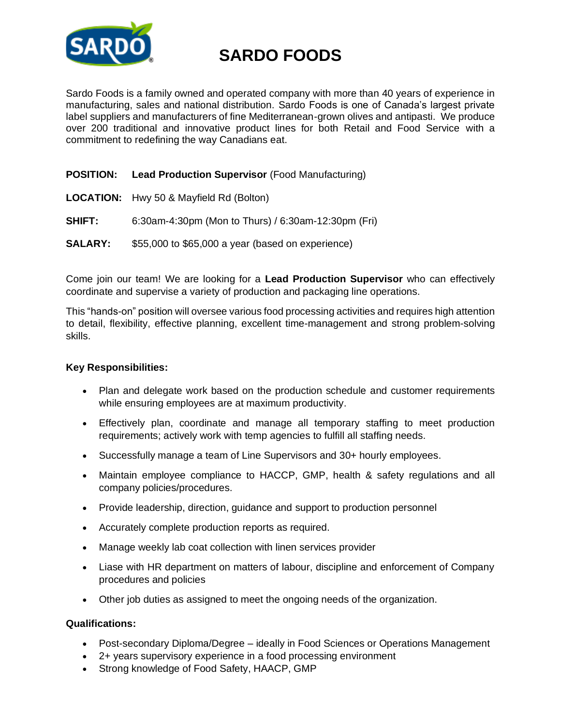

# **SARDO FOODS**

Sardo Foods is a family owned and operated company with more than 40 years of experience in manufacturing, sales and national distribution. Sardo Foods is one of Canada's largest private label suppliers and manufacturers of fine Mediterranean-grown olives and antipasti. We produce over 200 traditional and innovative product lines for both Retail and Food Service with a commitment to redefining the way Canadians eat.

## **POSITION: Lead Production Supervisor** (Food Manufacturing)

- **LOCATION:** Hwy 50 & Mayfield Rd (Bolton)
- **SHIFT:** 6:30am-4:30pm (Mon to Thurs) / 6:30am-12:30pm (Fri)
- **SALARY:** \$55,000 to \$65,000 a year (based on experience)

Come join our team! We are looking for a **Lead Production Supervisor** who can effectively coordinate and supervise a variety of production and packaging line operations.

This "hands-on" position will oversee various food processing activities and requires high attention to detail, flexibility, effective planning, excellent time-management and strong problem-solving skills.

### **Key Responsibilities:**

- Plan and delegate work based on the production schedule and customer requirements while ensuring employees are at maximum productivity.
- Effectively plan, coordinate and manage all temporary staffing to meet production requirements; actively work with temp agencies to fulfill all staffing needs.
- Successfully manage a team of Line Supervisors and 30+ hourly employees.
- Maintain employee compliance to HACCP, GMP, health & safety regulations and all company policies/procedures.
- Provide leadership, direction, guidance and support to production personnel
- Accurately complete production reports as required.
- Manage weekly lab coat collection with linen services provider
- Liase with HR department on matters of labour, discipline and enforcement of Company procedures and policies
- Other job duties as assigned to meet the ongoing needs of the organization.

## **Qualifications:**

- Post-secondary Diploma/Degree ideally in Food Sciences or Operations Management
- 2+ years supervisory experience in a food processing environment
- Strong knowledge of Food Safety, HAACP, GMP